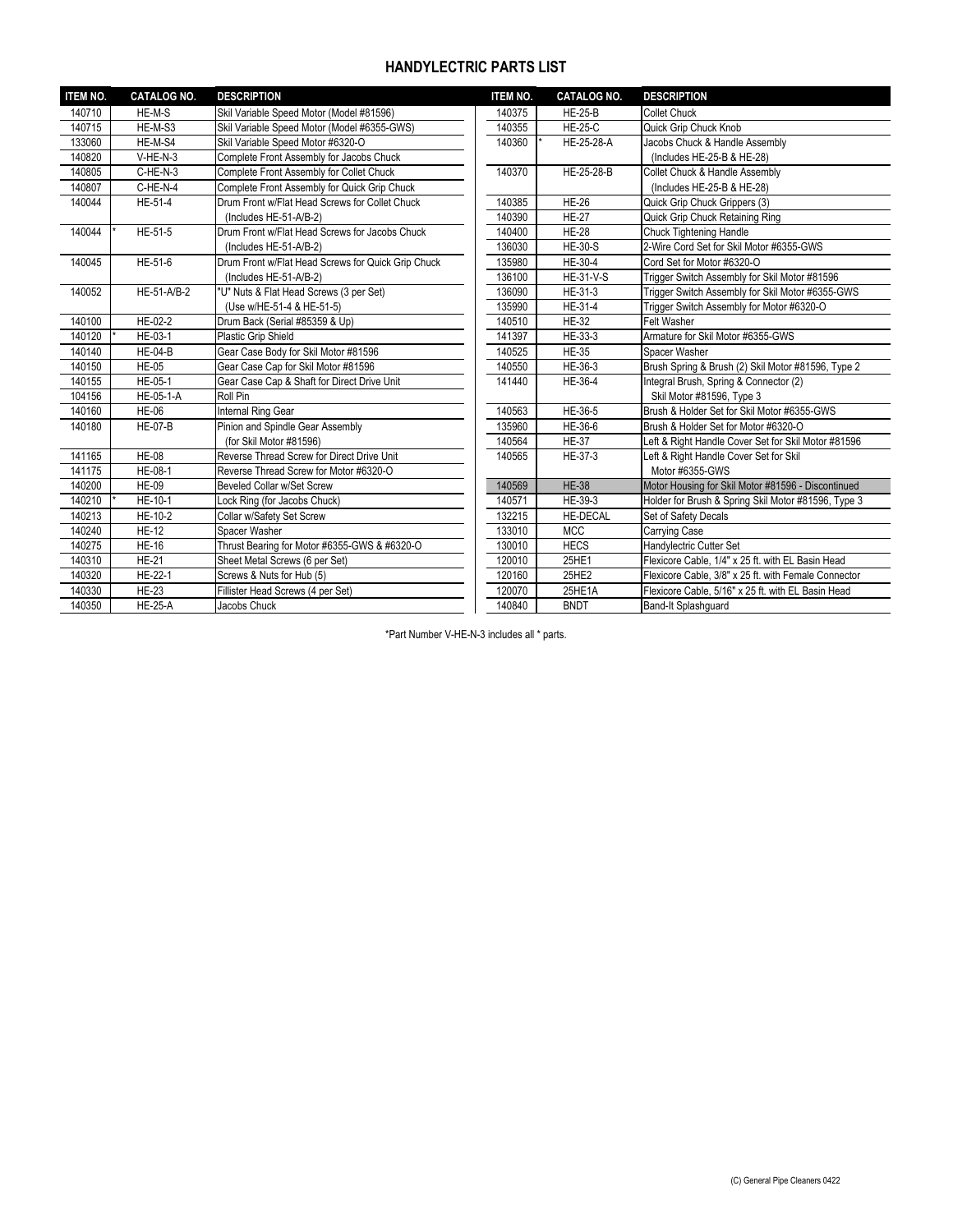## **HANDYLECTRIC PARTS LIST**

| <b>ITEM NO.</b> | <b>CATALOG NO.</b> | <b>DESCRIPTION</b>                                 | <b>ITEM NO.</b> | <b>CATALOG NO.</b> | <b>DESCRIPTION</b>                                   |
|-----------------|--------------------|----------------------------------------------------|-----------------|--------------------|------------------------------------------------------|
| 140710          | HE-M-S             | Skil Variable Speed Motor (Model #81596)           | 140375          | <b>HE-25-B</b>     | <b>Collet Chuck</b>                                  |
| 140715          | HE-M-S3            | Skil Variable Speed Motor (Model #6355-GWS)        | 140355          | <b>HE-25-C</b>     | Quick Grip Chuck Knob                                |
| 133060          | HE-M-S4            | Skil Variable Speed Motor #6320-O                  | 140360          | HE-25-28-A         | Jacobs Chuck & Handle Assembly                       |
| 140820          | $V-HE-N-3$         | Complete Front Assembly for Jacobs Chuck           |                 |                    | (Includes HE-25-B & HE-28)                           |
| 140805          | C-HE-N-3           | Complete Front Assembly for Collet Chuck           | 140370          | HE-25-28-B         | Collet Chuck & Handle Assembly                       |
| 140807          | C-HE-N-4           | Complete Front Assembly for Quick Grip Chuck       |                 |                    | (Includes HE-25-B & HE-28)                           |
| 140044          | HE-51-4            | Drum Front w/Flat Head Screws for Collet Chuck     | 140385          | <b>HE-26</b>       | Quick Grip Chuck Grippers (3)                        |
|                 |                    | (Includes HE-51-A/B-2)                             | 140390          | <b>HE-27</b>       | Quick Grip Chuck Retaining Ring                      |
| 140044          | HE-51-5            | Drum Front w/Flat Head Screws for Jacobs Chuck     | 140400          | <b>HE-28</b>       | <b>Chuck Tightening Handle</b>                       |
|                 |                    | (Includes HE-51-A/B-2)                             | 136030          | <b>HE-30-S</b>     | 2-Wire Cord Set for Skil Motor #6355-GWS             |
| 140045          | HE-51-6            | Drum Front w/Flat Head Screws for Quick Grip Chuck | 135980          | HE-30-4            | Cord Set for Motor #6320-O                           |
|                 |                    | (Includes HE-51-A/B-2)                             | 136100          | <b>HE-31-V-S</b>   | Trigger Switch Assembly for Skil Motor #81596        |
| 140052          | HE-51-A/B-2        | "U" Nuts & Flat Head Screws (3 per Set)            | 136090          | HE-31-3            | Trigger Switch Assembly for Skil Motor #6355-GWS     |
|                 |                    | (Use w/HE-51-4 & HE-51-5)                          | 135990          | HE-31-4            | Trigger Switch Assembly for Motor #6320-O            |
| 140100          | HE-02-2            | Drum Back (Serial #85359 & Up)                     | 140510          | <b>HE-32</b>       | <b>Felt Washer</b>                                   |
| 140120          | HE-03-1            | <b>Plastic Grip Shield</b>                         | 141397          | HE-33-3            | Armature for Skil Motor #6355-GWS                    |
| 140140          | <b>HE-04-B</b>     | Gear Case Body for Skil Motor #81596               | 140525          | <b>HE-35</b>       | Spacer Washer                                        |
| 140150          | <b>HE-05</b>       | Gear Case Cap for Skil Motor #81596                | 140550          | HE-36-3            | Brush Spring & Brush (2) Skil Motor #81596, Type 2   |
| 140155          | HE-05-1            | Gear Case Cap & Shaft for Direct Drive Unit        | 141440          | HE-36-4            | Integral Brush, Spring & Connector (2)               |
| 104156          | HE-05-1-A          | Roll Pin                                           |                 |                    | Skil Motor #81596, Type 3                            |
| 140160          | <b>HE-06</b>       | Internal Ring Gear                                 | 140563          | HE-36-5            | Brush & Holder Set for Skil Motor #6355-GWS          |
| 140180          | <b>HE-07-B</b>     | Pinion and Spindle Gear Assembly                   | 135960          | HE-36-6            | Brush & Holder Set for Motor #6320-O                 |
|                 |                    | (for Skil Motor #81596)                            | 140564          | <b>HE-37</b>       | Left & Right Handle Cover Set for Skil Motor #81596  |
| 141165          | $HE-08$            | Reverse Thread Screw for Direct Drive Unit         | 140565          | HE-37-3            | Left & Right Handle Cover Set for Skil               |
| 141175          | HE-08-1            | Reverse Thread Screw for Motor #6320-O             |                 |                    | Motor #6355-GWS                                      |
| 140200          | <b>HE-09</b>       | Beveled Collar w/Set Screw                         | 140569          | <b>HE-38</b>       | Motor Housing for Skil Motor #81596 - Discontinued   |
| 140210          | HE-10-1            | Lock Ring (for Jacobs Chuck)                       | 140571          | HE-39-3            | Holder for Brush & Spring Skil Motor #81596, Type 3  |
| 140213          | HE-10-2            | Collar w/Safety Set Screw                          | 132215          | <b>HE-DECAL</b>    | Set of Safety Decals                                 |
| 140240          | <b>HE-12</b>       | Spacer Washer                                      | 133010          | <b>MCC</b>         | Carrying Case                                        |
| 140275          | <b>HE-16</b>       | Thrust Bearing for Motor #6355-GWS & #6320-O       | 130010          | <b>HECS</b>        | Handylectric Cutter Set                              |
| 140310          | <b>HE-21</b>       | Sheet Metal Screws (6 per Set)                     | 120010          | 25HE1              | Flexicore Cable, 1/4" x 25 ft. with EL Basin Head    |
| 140320          | HE-22-1            | Screws & Nuts for Hub (5)                          | 120160          | 25HE2              | Flexicore Cable, 3/8" x 25 ft. with Female Connector |
| 140330          | <b>HE-23</b>       | Fillister Head Screws (4 per Set)                  | 120070          | 25HE1A             | Flexicore Cable, 5/16" x 25 ft. with EL Basin Head   |
| 140350          | <b>HE-25-A</b>     | Jacobs Chuck                                       | 140840          | <b>BNDT</b>        | Band-It Splashquard                                  |

\*Part Number V-HE-N-3 includes all \* parts.